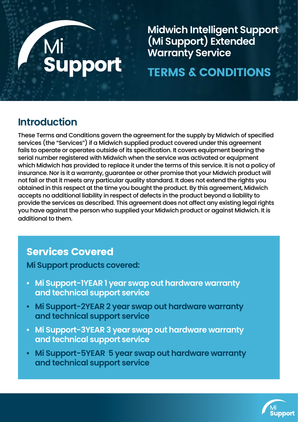# Mi<br>Support

**Midwich Intelligent Support (Mi Support) Extended Warranty Service**

# TERMS & CONDITIONS

## **Introduction**

These Terms and Conditions govern the agreement for the supply by Midwich of specified services (the "Services") if a Midwich supplied product covered under this agreement fails to operate or operates outside of its specification. It covers equipment bearing the serial number registered with Midwich when the service was activated or equipment which Midwich has provided to replace it under the terms of this service. It is not a policy of insurance. Nor is it a warranty, guarantee or other promise that your Midwich product will not fail or that it meets any particular quality standard. It does not extend the rights you obtained in this respect at the time you bought the product. By this agreement, Midwich accepts no additional liability in respect of defects in the product beyond a liability to provide the services as described. This agreement does not affect any existing legal rights you have against the person who supplied your Midwich product or against Midwich. It is additional to them.

## Services Covered

**Mi Support products covered:**

- **• Mi Support-1YEAR 1 year swap out hardware warranty and technical support service**
- **• Mi Support-2YEAR 2 year swap out hardware warranty and technical support service**
- **• Mi Support-3YEAR 3 year swap out hardware warranty and technical support service**
- **• Mi Support-5YEAR 5 year swap out hardware warranty and technical support service**

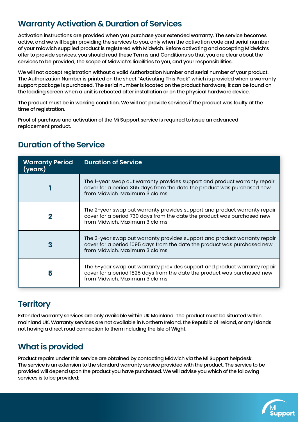### **Warranty Activation & Duration of Services**

Activation instructions are provided when you purchase your extended warranty. The service becomes active, and we will begin providing the services to you, only when the activation code and serial number of your midwich supplied product is registered with Midwich. Before activating and accepting Midwich's offer to provide services, you should read these Terms and Conditions so that you are clear about the services to be provided, the scope of Midwich's liabilities to you, and your responsibilities.

We will not accept registration without a valid Authorization Number and serial number of your product. The Authorization Number is printed on the sheet "Activating This Pack" which is provided when a warranty support package is purchased. The serial number is located on the product hardware, it can be found on the loading screen when a unit is rebooted after installation or on the physical hardware device.

The product must be in working condition. We will not provide services if the product was faulty at the time of registration.

Proof of purchase and activation of the Mi Support service is required to issue an advanced replacement product.

| <b>Warranty Period</b><br>(vears) | <b>Duration of Service</b>                                                                                                                                                              |
|-----------------------------------|-----------------------------------------------------------------------------------------------------------------------------------------------------------------------------------------|
|                                   | The I-year swap out warranty provides support and product warranty repair<br>cover for a period 365 days from the date the product was purchased new<br>from Midwich, Maximum 3 claims  |
|                                   | The 2-year swap out warranty provides support and product warranty repair<br>cover for a period 730 days from the date the product was purchased new<br>from Midwich, Maximum 3 claims  |
| 3                                 | The 3-year swap out warranty provides support and product warranty repair<br>cover for a period 1095 days from the date the product was purchased new<br>from Midwich, Maximum 3 claims |
| 5                                 | The 5-year swap out warranty provides support and product warranty repair<br>cover for a period 1825 days from the date the product was purchased new<br>from Midwich, Maximum 3 claims |

#### **Duration of the Service**

#### **Territory**

Extended warranty services are only available within UK Mainland. The product must be situated within mainland UK. Warranty services are not available in Northern Ireland, the Republic of Ireland, or any islands not having a direct road connection to them including the Isle of Wight.

### **What is provided**

Product repairs under this service are obtained by contacting Midwich via the Mi Support helpdesk. The service is an extension to the standard warranty service provided with the product. The service to be provided will depend upon the product you have purchased. We will advise you which of the following services is to be provided:

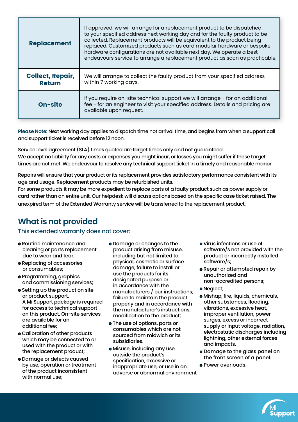| <b>Replacement</b>                       | If approved, we will arrange for a replacement product to be dispatched<br>to your specified address next working day and for the faulty product to be<br>collected. Replacement products will be equivalent to the product being<br>replaced. Customized products such as card modular hardware or bespoke<br>hardware configurations are not available next day. We operate a best<br>endeavours service to arrange a replacement product as soon as practicable. |
|------------------------------------------|---------------------------------------------------------------------------------------------------------------------------------------------------------------------------------------------------------------------------------------------------------------------------------------------------------------------------------------------------------------------------------------------------------------------------------------------------------------------|
| <b>Collect, Repair,</b><br><b>Return</b> | We will arrange to collect the faulty product from your specified address<br>within 7 working days.                                                                                                                                                                                                                                                                                                                                                                 |
| <b>On-site</b>                           | If you require on-site technical support we will arrange - for an additional<br>fee - for an engineer to visit your specified address. Details and pricing are<br>available upon request.                                                                                                                                                                                                                                                                           |

**Please Note:** Next working day applies to dispatch time not arrival time, and begins from when a support call and support ticket is received before 12 noon.

Service level agreement (SLA) times quoted are target times only and not guaranteed. We accept no liability for any costs or expenses you might incur, or losses you might suffer if these target times are not met. We endeavour to resolve any technical support ticket in a timely and reasonable manor.

Repairs will ensure that your product or its replacement provides satisfactory performance consistent with its age and usage. Replacement products may be refurbished units.

For some products it may be more expedient to replace parts of a faulty product such as power supply or card rather than an entire unit. Our helpdesk will discuss options based on the specific case ticket raised. The unexpired term of the Extended Warranty service will be transferred to the replacement product.

## **What is not provided**

#### This extended warranty does not cover:

- Routine maintenance and cleaning or parts replacement due to wear and tear;
- Replacing of accessories or consumables;
- Programming, graphics and commissioning services;
- **•** Setting up the product on site or product support. A Mi Support package is required for access to technical support on this product. On-site services are available for an additional fee;
- Calibration of other products which may be connected to or used with the product or with the replacement product;
- Damage or defects caused by use, operation or treatment of the product inconsistent with normal use;
- Damage or changes to the product arising from misuse, including but not limited to physical, cosmetic or surface damage, failure to install or use the products for its designated purpose or in accordance with the manufacturers / our instructions; failure to maintain the product properly and in accordance with the manufacturer's instructions; modification to the product;
- The use of options, parts or consumables which are not sourced from midwich or its subsidiaries.
- Misuse, including any use outside the product's specification, excessive or inappropriate use, or use in an adverse or abnormal environment
- Virus infections or use of software/s not provided with the product or incorrectly installed software/s;
- Repair or attempted repair by unauthorized and non-accredited persons;
- Neglect;
- Mishap, fire, liquids, chemicals, other substances, flooding, vibrations, excessive heat, improper ventilation, power surges, excess or incorrect supply or input voltage, radiation, electrostatic discharges including lightning, other external forces and impacts.
- Damage to the glass panel on the front screen of a panel.
- **Power overloads.**

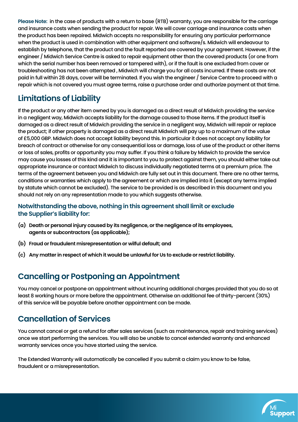**Please Note:** in the case of products with a return to base (RTB) warranty, you are responsible for the carriage and insurance costs when sending the product for repair. We will cover carriage and insurance costs when the product has been repaired. Midwich accepts no responsibility for ensuring any particular performance when the product is used in combination with other equipment and software/s. Midwich will endeavour to establish by telephone, that the product and the fault reported are covered by your agreement. However, if the engineer / Midwich Service Centre is asked to repair equipment other than the covered products (or one from which the serial number has been removed or tampered with), or if the fault is one excluded from cover or troubleshooting has not been attempted , Midwich will charge you for all costs incurred. If these costs are not paid in full within 28 days, cover will be terminated. If you wish the engineer / Service Centre to proceed with a repair which is not covered you must agree terms, raise a purchase order and authorize payment at that time.

## **Limitations of Liability**

If the product or any other item owned by you is damaged as a direct result of Midwich providing the service in a negligent way, Midwich accepts liability for the damage caused to those items. If the product itself is damaged as a direct result of Midwich providing the service in a negligent way, Midwich will repair or replace the product; if other property is damaged as a direct result Midwich will pay up to a maximum of the value of £5,000 GBP. Midwich does not accept liability beyond this. In particular it does not accept any liability for breach of contract or otherwise for any consequential loss or damage, loss of use of the product or other items or loss of sales, profits or opportunity you may suffer. If you think a failure by Midwich to provide the service may cause you losses of this kind and it is important to you to protect against them, you should either take out appropriate insurance or contact Midwich to discuss individually negotiated terms at a premium price. The terms of the agreement between you and Midwich are fully set out in this document. There are no other terms, conditions or warranties which apply to the agreement or which are implied into it (except any terms implied by statute which cannot be excluded). The service to be provided is as described in this document and you should not rely on any representation made to you which suggests otherwise.

#### **Notwithstanding the above, nothing in this agreement shall limit or exclude the Supplier's liability for:**

- **(a) Death or personal injury caused by its negligence, or the negligence of its employees, agents or subcontractors (as applicable);**
- **(b) Fraud or fraudulent misrepresentation or wilful default; and**
- **(c) Any matter in respect of which it would be unlawful for Us to exclude or restrict liability.**

### **Cancelling or Postponing an Appointment**

You may cancel or postpone an appointment without incurring additional charges provided that you do so at least 8 working hours or more before the appointment. Otherwise an additional fee of thirty-percent (30%) of this service will be payable before another appointment can be made.

#### **Cancellation of Services**

You cannot cancel or get a refund for after sales services (such as maintenance, repair and training services) once we start performing the services. You will also be unable to cancel extended warranty and enhanced warranty services once you have started using the service.

The Extended Warranty will automatically be cancelled if you submit a claim you know to be false, fraudulent or a misrepresentation.